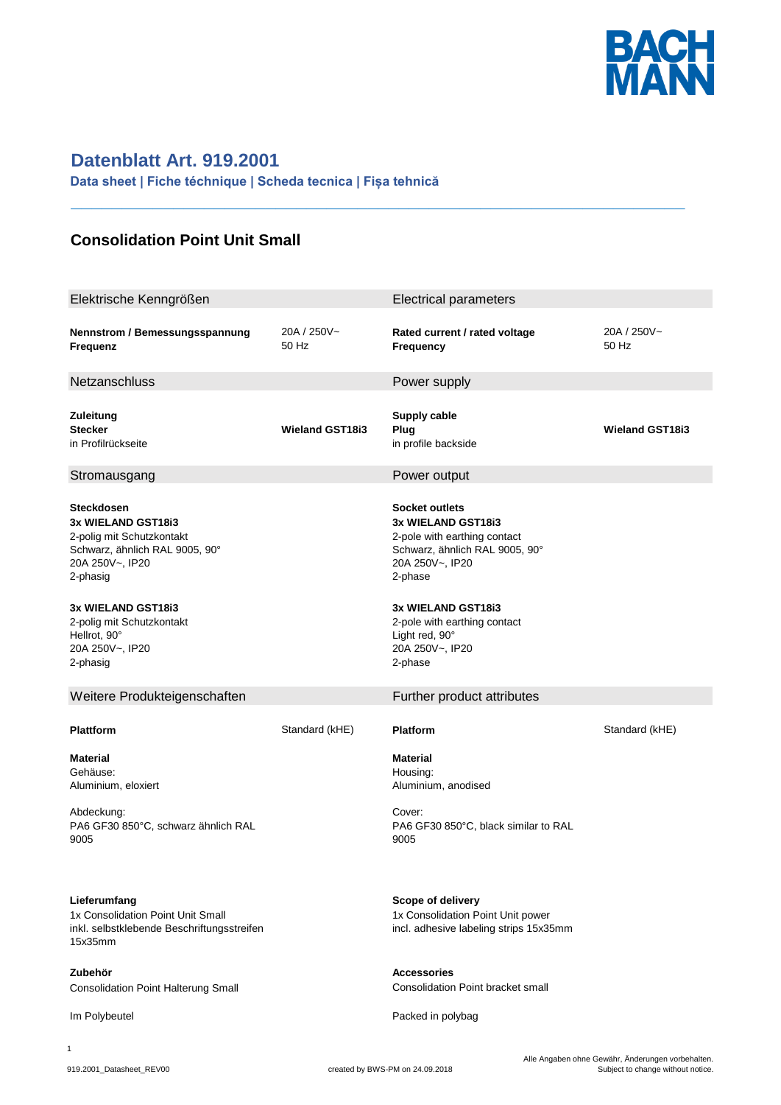

## **Datenblatt Art. 919.2001**

**Data sheet | Fiche téchnique | Scheda tecnica | Fișa tehnică**

## **Consolidation Point Unit Small**

| Elektrische Kenngrößen                                                                                                                                                                                                                  |                        | <b>Electrical parameters</b>                                                                                                                                                                                                                      |                        |
|-----------------------------------------------------------------------------------------------------------------------------------------------------------------------------------------------------------------------------------------|------------------------|---------------------------------------------------------------------------------------------------------------------------------------------------------------------------------------------------------------------------------------------------|------------------------|
| Nennstrom / Bemessungsspannung<br>Frequenz                                                                                                                                                                                              | 20A / 250V~<br>50 Hz   | Rated current / rated voltage<br>Frequency                                                                                                                                                                                                        | 20A / 250V~<br>50 Hz   |
| Netzanschluss                                                                                                                                                                                                                           |                        | Power supply                                                                                                                                                                                                                                      |                        |
| Zuleitung<br><b>Stecker</b><br>in Profilrückseite                                                                                                                                                                                       | <b>Wieland GST18i3</b> | Supply cable<br>Plug<br>in profile backside                                                                                                                                                                                                       | <b>Wieland GST18i3</b> |
| Stromausgang                                                                                                                                                                                                                            |                        | Power output                                                                                                                                                                                                                                      |                        |
| <b>Steckdosen</b><br>3x WIELAND GST18i3<br>2-polig mit Schutzkontakt<br>Schwarz, ähnlich RAL 9005, 90°<br>20A 250V~, IP20<br>2-phasig<br>3x WIELAND GST18i3<br>2-polig mit Schutzkontakt<br>Hellrot, 90°<br>20A 250V~, IP20<br>2-phasig |                        | <b>Socket outlets</b><br>3x WIELAND GST18i3<br>2-pole with earthing contact<br>Schwarz, ähnlich RAL 9005, 90°<br>20A 250V~, IP20<br>2-phase<br>3x WIELAND GST18i3<br>2-pole with earthing contact<br>Light red, 90°<br>20A 250V~, IP20<br>2-phase |                        |
| Weitere Produkteigenschaften                                                                                                                                                                                                            |                        | Further product attributes                                                                                                                                                                                                                        |                        |
| <b>Plattform</b>                                                                                                                                                                                                                        | Standard (kHE)         | <b>Platform</b>                                                                                                                                                                                                                                   | Standard (kHE)         |
| <b>Material</b><br>Gehäuse:<br>Aluminium, eloxiert                                                                                                                                                                                      |                        | <b>Material</b><br>Housing:<br>Aluminium, anodised                                                                                                                                                                                                |                        |
| Abdeckung:<br>PA6 GF30 850°C, schwarz ähnlich RAL<br>9005                                                                                                                                                                               |                        | Cover:<br>PA6 GF30 850°C, black similar to RAL<br>9005                                                                                                                                                                                            |                        |
| Lieferumfang<br>1x Consolidation Point Unit Small<br>inkl. selbstklebende Beschriftungsstreifen<br>15x35mm                                                                                                                              |                        | Scope of delivery<br>1x Consolidation Point Unit power<br>incl. adhesive labeling strips 15x35mm                                                                                                                                                  |                        |
| Zubehör<br><b>Consolidation Point Halterung Small</b>                                                                                                                                                                                   |                        | <b>Accessories</b><br><b>Consolidation Point bracket small</b>                                                                                                                                                                                    |                        |
| Im Polybeutel                                                                                                                                                                                                                           |                        | Packed in polybag                                                                                                                                                                                                                                 |                        |
| 1                                                                                                                                                                                                                                       |                        |                                                                                                                                                                                                                                                   |                        |

**\_\_\_\_\_\_\_\_\_\_\_\_\_\_\_\_\_\_\_\_\_\_\_\_\_\_\_\_\_\_\_\_\_\_\_\_\_\_\_\_\_\_\_\_\_\_\_\_\_\_\_\_\_\_\_\_\_\_\_\_**